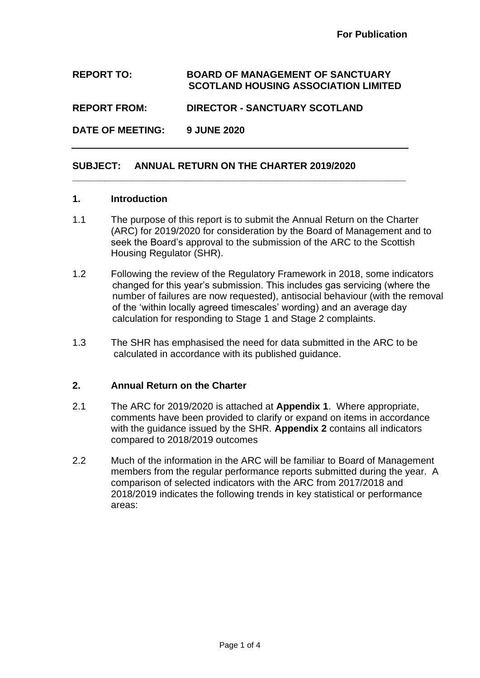## **REPORT TO: BOARD OF MANAGEMENT OF SANCTUARY SCOTLAND HOUSING ASSOCIATION LIMITED**

**\_\_\_\_\_\_\_\_\_\_\_\_\_\_\_\_\_\_\_\_\_\_\_\_\_\_\_\_\_\_\_\_\_\_\_\_\_\_\_\_\_\_\_\_\_\_\_\_\_\_\_\_\_\_\_\_\_\_\_\_\_\_**

**REPORT FROM: DIRECTOR - SANCTUARY SCOTLAND**

**DATE OF MEETING: 9 JUNE 2020**

## **SUBJECT: ANNUAL RETURN ON THE CHARTER 2019/2020**

## **1. Introduction**

- 1.1 The purpose of this report is to submit the Annual Return on the Charter (ARC) for 2019/2020 for consideration by the Board of Management and to seek the Board's approval to the submission of the ARC to the Scottish Housing Regulator (SHR).
- 1.2 Following the review of the Regulatory Framework in 2018, some indicators changed for this year's submission. This includes gas servicing (where the number of failures are now requested), antisocial behaviour (with the removal of the 'within locally agreed timescales' wording) and an average day calculation for responding to Stage 1 and Stage 2 complaints.
- 1.3 The SHR has emphasised the need for data submitted in the ARC to be calculated in accordance with its published guidance.

## **2. Annual Return on the Charter**

- 2.1 The ARC for 2019/2020 is attached at **Appendix 1**. Where appropriate, comments have been provided to clarify or expand on items in accordance with the guidance issued by the SHR. **Appendix 2** contains all indicators compared to 2018/2019 outcomes
- 2.2 Much of the information in the ARC will be familiar to Board of Management members from the regular performance reports submitted during the year. A comparison of selected indicators with the ARC from 2017/2018 and 2018/2019 indicates the following trends in key statistical or performance areas: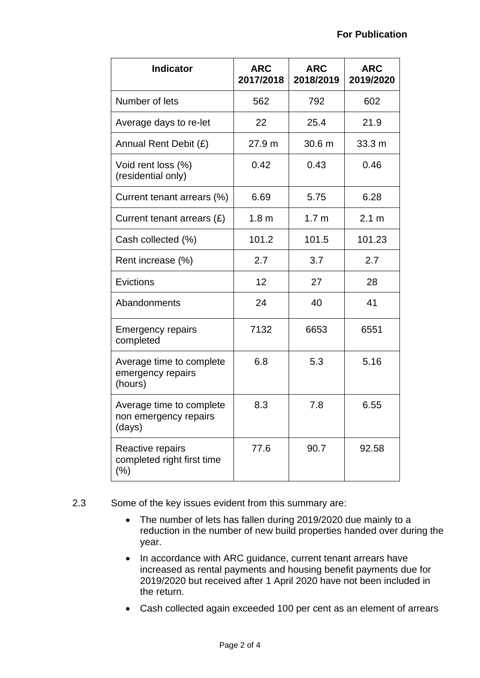| <b>Indicator</b>                                            | <b>ARC</b><br>2017/2018 | <b>ARC</b><br>2018/2019 | <b>ARC</b><br>2019/2020 |
|-------------------------------------------------------------|-------------------------|-------------------------|-------------------------|
|                                                             |                         |                         |                         |
| Number of lets                                              | 562                     | 792                     | 602                     |
| Average days to re-let                                      | 22                      | 25.4                    | 21.9                    |
| Annual Rent Debit (£)                                       | 27.9 m                  | 30.6 m                  | 33.3 m                  |
| Void rent loss (%)<br>(residential only)                    | 0.42                    | 0.43                    | 0.46                    |
| Current tenant arrears (%)                                  | 6.69                    | 5.75                    | 6.28                    |
| Current tenant arrears (£)                                  | 1.8 <sub>m</sub>        | 1.7 <sub>m</sub>        | 2.1 m                   |
| Cash collected (%)                                          | 101.2                   | 101.5                   | 101.23                  |
| Rent increase (%)                                           | 2.7                     | 3.7                     | 2.7                     |
| Evictions                                                   | 12                      | 27                      | 28                      |
| Abandonments                                                | 24                      | 40                      | 41                      |
| <b>Emergency repairs</b><br>completed                       | 7132                    | 6653                    | 6551                    |
| Average time to complete<br>emergency repairs<br>(hours)    | 6.8                     | 5.3                     | 5.16                    |
| Average time to complete<br>non emergency repairs<br>(days) | 8.3                     | 7.8                     | 6.55                    |
| Reactive repairs<br>completed right first time<br>$(\% )$   | 77.6                    | 90.7                    | 92.58                   |

- 2.3 Some of the key issues evident from this summary are:
	- The number of lets has fallen during 2019/2020 due mainly to a reduction in the number of new build properties handed over during the year.
	- In accordance with ARC guidance, current tenant arrears have increased as rental payments and housing benefit payments due for 2019/2020 but received after 1 April 2020 have not been included in the return.
	- Cash collected again exceeded 100 per cent as an element of arrears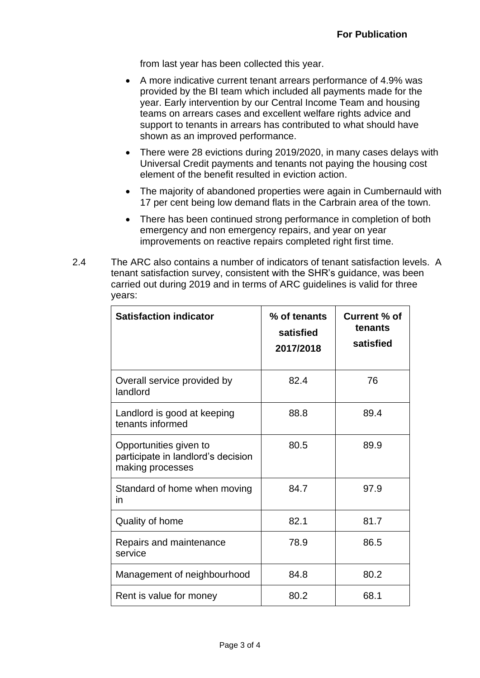from last year has been collected this year.

- A more indicative current tenant arrears performance of 4.9% was provided by the BI team which included all payments made for the year. Early intervention by our Central Income Team and housing teams on arrears cases and excellent welfare rights advice and support to tenants in arrears has contributed to what should have shown as an improved performance.
- There were 28 evictions during 2019/2020, in many cases delays with Universal Credit payments and tenants not paying the housing cost element of the benefit resulted in eviction action.
- The majority of abandoned properties were again in Cumbernauld with 17 per cent being low demand flats in the Carbrain area of the town.
- There has been continued strong performance in completion of both emergency and non emergency repairs, and year on year improvements on reactive repairs completed right first time.
- 2.4 The ARC also contains a number of indicators of tenant satisfaction levels. A tenant satisfaction survey, consistent with the SHR's guidance, was been carried out during 2019 and in terms of ARC guidelines is valid for three years:

| <b>Satisfaction indicator</b>                                                    | % of tenants<br>satisfied<br>2017/2018 | Current % of<br>tenants<br>satisfied |
|----------------------------------------------------------------------------------|----------------------------------------|--------------------------------------|
| Overall service provided by<br>landlord                                          | 82.4                                   | 76                                   |
| Landlord is good at keeping<br>tenants informed                                  | 88.8                                   | 89.4                                 |
| Opportunities given to<br>participate in landlord's decision<br>making processes | 80.5                                   | 89.9                                 |
| Standard of home when moving<br>in                                               | 84.7                                   | 97.9                                 |
| Quality of home                                                                  | 82.1                                   | 81.7                                 |
| Repairs and maintenance<br>service                                               | 78.9                                   | 86.5                                 |
| Management of neighbourhood                                                      | 84.8                                   | 80.2                                 |
| Rent is value for money                                                          | 80.2                                   | 68.1                                 |